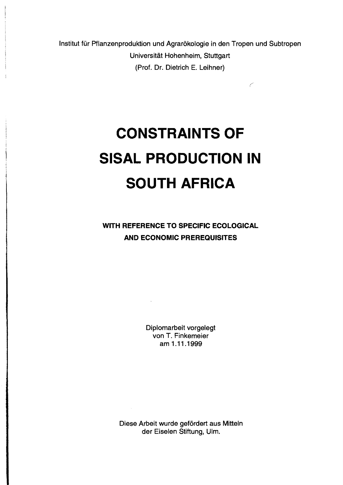Institut für Pflanzenproduktion und Agrarökologie in den Tropen und Subtropen Universität Hohenheim, Stuttgart (Prof. Dr. Dietrich E. Leihner)

 $\sqrt{2}$ 

## **CONSTRAINTS OF SISAL PRODUCTION IN SOUTH AFRICA**

**WITH REFERENCE TO SPECIFIC ECOLOGICAL AND ECONOMIC PREREQUISITES** 

> Diplomarbeit vorgelegt von T. Finkemeier am 1.11 .1999

 $\sim$   $\alpha$ 

Diese Arbeit wurde gefördert aus Mitteln der Eiselen Stiftung, Ulm.